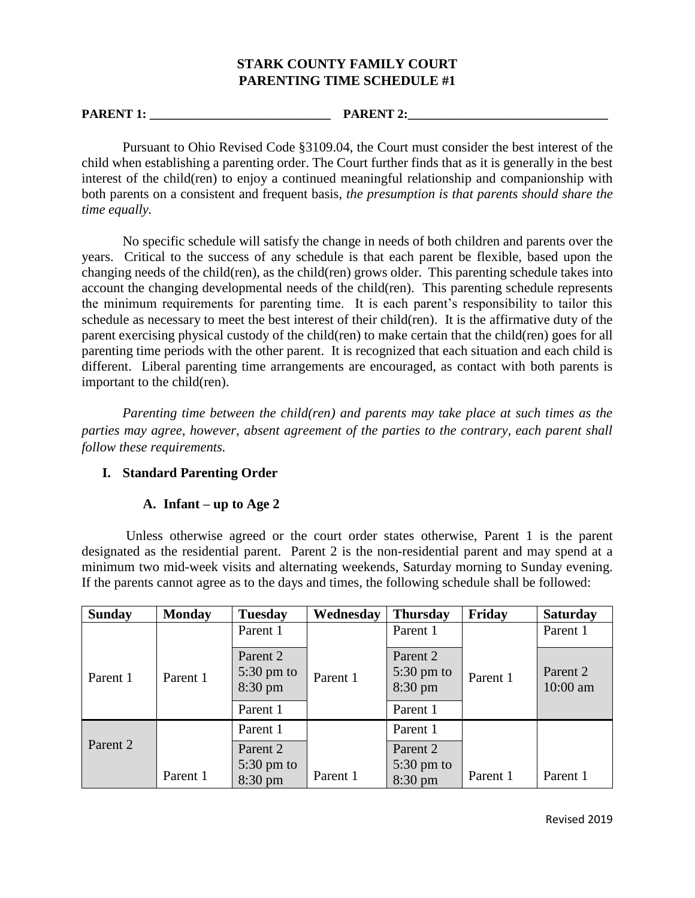### **STARK COUNTY FAMILY COURT PARENTING TIME SCHEDULE #1**

**PARENT 1: PARENT 2:** 

Pursuant to Ohio Revised Code §3109.04, the Court must consider the best interest of the child when establishing a parenting order. The Court further finds that as it is generally in the best interest of the child(ren) to enjoy a continued meaningful relationship and companionship with both parents on a consistent and frequent basis, *the presumption is that parents should share the time equally.*

No specific schedule will satisfy the change in needs of both children and parents over the years. Critical to the success of any schedule is that each parent be flexible, based upon the changing needs of the child(ren), as the child(ren) grows older. This parenting schedule takes into account the changing developmental needs of the child(ren). This parenting schedule represents the minimum requirements for parenting time. It is each parent's responsibility to tailor this schedule as necessary to meet the best interest of their child(ren). It is the affirmative duty of the parent exercising physical custody of the child(ren) to make certain that the child(ren) goes for all parenting time periods with the other parent. It is recognized that each situation and each child is different. Liberal parenting time arrangements are encouraged, as contact with both parents is important to the child(ren).

*Parenting time between the child(ren) and parents may take place at such times as the parties may agree, however, absent agreement of the parties to the contrary, each parent shall follow these requirements.* 

# **I. Standard Parenting Order**

#### **A. Infant – up to Age 2**

 Unless otherwise agreed or the court order states otherwise, Parent 1 is the parent designated as the residential parent. Parent 2 is the non-residential parent and may spend at a minimum two mid-week visits and alternating weekends, Saturday morning to Sunday evening. If the parents cannot agree as to the days and times, the following schedule shall be followed:

| <b>Sunday</b>       | <b>Monday</b> | <b>Tuesday</b>                                         | Wednesday | <b>Thursday</b>                             | Friday   | <b>Saturday</b>        |
|---------------------|---------------|--------------------------------------------------------|-----------|---------------------------------------------|----------|------------------------|
|                     |               | Parent 1                                               |           | Parent 1                                    |          | Parent 1               |
| Parent 1            | Parent 1      | Parent 2<br>$5:30 \text{ pm}$ to<br>8:30 pm            | Parent 1  | Parent 2<br>$5:30 \text{ pm}$ to<br>8:30 pm | Parent 1 | Parent 2<br>$10:00$ am |
|                     |               | Parent 1                                               |           | Parent 1                                    |          |                        |
|                     |               | Parent 1                                               |           | Parent 1                                    |          |                        |
| Parent <sub>2</sub> | Parent 1      | Parent <sub>2</sub><br>$5:30 \text{ pm}$ to<br>8:30 pm | Parent 1  | Parent 2<br>$5:30 \text{ pm}$ to<br>8:30 pm | Parent 1 | Parent 1               |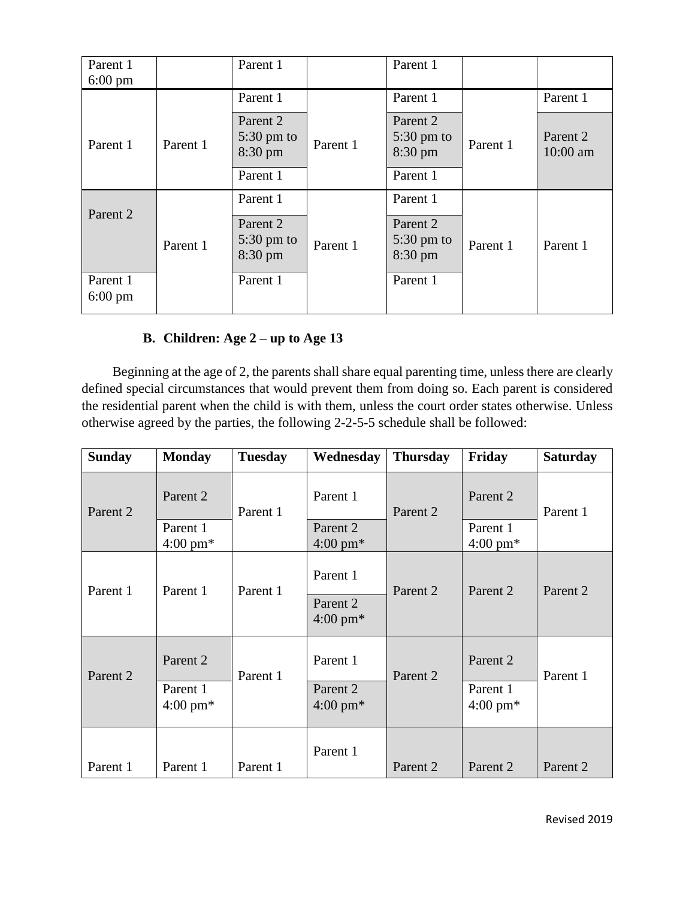| Parent 1<br>$6:00 \text{ pm}$ |          | Parent 1                                              |          | Parent 1                                    |          |                      |
|-------------------------------|----------|-------------------------------------------------------|----------|---------------------------------------------|----------|----------------------|
|                               |          | Parent 1                                              |          | Parent 1                                    |          | Parent 1             |
| Parent 1                      | Parent 1 | Parent 2<br>$5:30 \text{ pm}$ to<br>8:30 pm           | Parent 1 | Parent 2<br>$5:30 \text{ pm}$ to<br>8:30 pm | Parent 1 | Parent 2<br>10:00 am |
|                               |          | Parent 1                                              |          | Parent 1                                    |          |                      |
|                               |          | Parent 1                                              |          | Parent 1                                    |          |                      |
| Parent 2                      | Parent 1 | Parent 2<br>$5:30 \text{ pm}$ to<br>$8:30 \text{ pm}$ | Parent 1 | Parent 2<br>$5:30 \text{ pm}$ to<br>8:30 pm | Parent 1 | Parent 1             |
| Parent 1<br>$6:00 \text{ pm}$ |          | Parent 1                                              |          | Parent 1                                    |          |                      |

# **B. Children: Age 2 – up to Age 13**

 Beginning at the age of 2, the parents shall share equal parenting time, unless there are clearly defined special circumstances that would prevent them from doing so. Each parent is considered the residential parent when the child is with them, unless the court order states otherwise. Unless otherwise agreed by the parties, the following 2-2-5-5 schedule shall be followed:

| <b>Sunday</b>       | <b>Monday</b>                  | <b>Tuesday</b> | Wednesday                      | <b>Thursday</b> | Friday                         | <b>Saturday</b> |
|---------------------|--------------------------------|----------------|--------------------------------|-----------------|--------------------------------|-----------------|
| Parent 2            | Parent 2                       | Parent 1       | Parent 1                       | Parent 2        | Parent 2                       | Parent 1        |
|                     | Parent 1<br>$4:00 \text{ pm*}$ |                | Parent 2<br>$4:00 \text{ pm*}$ |                 | Parent 1<br>4:00 pm $*$        |                 |
| Parent 1            | Parent 1                       | Parent 1       | Parent 1                       | Parent 2        | Parent 2                       | Parent 2        |
|                     |                                |                | Parent 2<br>$4:00 \text{ pm*}$ |                 |                                |                 |
| Parent <sub>2</sub> | Parent 2                       | Parent 1       | Parent 1                       | Parent 2        | Parent <sub>2</sub>            | Parent 1        |
|                     | Parent 1<br>$4:00 \text{ pm*}$ |                | Parent 2<br>$4:00 \text{ pm*}$ |                 | Parent 1<br>$4:00 \text{ pm*}$ |                 |
| Parent 1            | Parent 1                       | Parent 1       | Parent 1                       | Parent 2        | Parent 2                       | Parent 2        |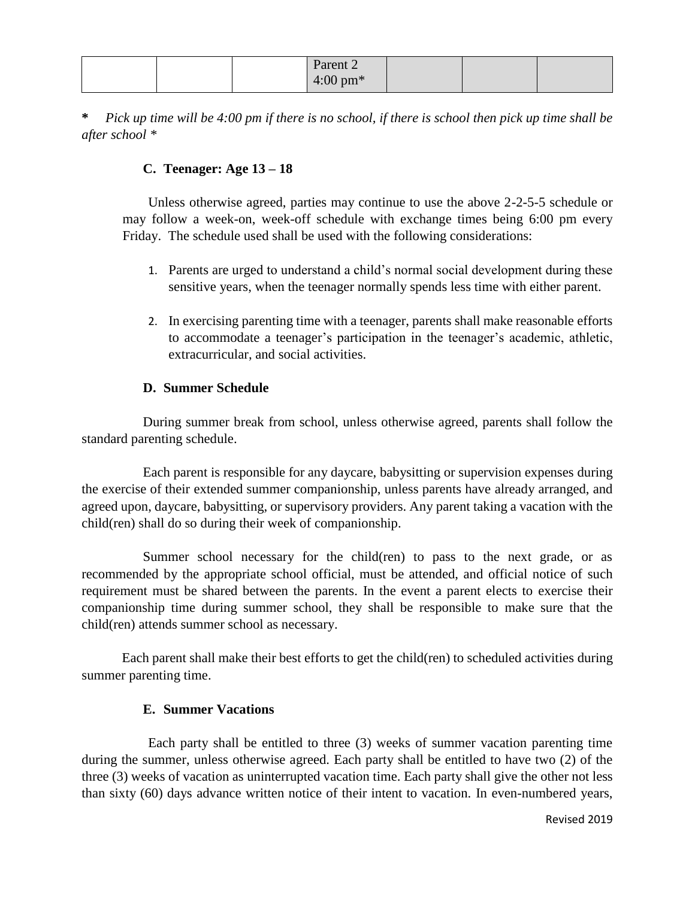|  | Parent 2           |  |  |
|--|--------------------|--|--|
|  | $4:00 \text{ pm*}$ |  |  |

**\*** *Pick up time will be 4:00 pm if there is no school, if there is school then pick up time shall be after school \**

# **C. Teenager: Age 13 – 18**

Unless otherwise agreed, parties may continue to use the above 2-2-5-5 schedule or may follow a week-on, week-off schedule with exchange times being 6:00 pm every Friday. The schedule used shall be used with the following considerations:

- 1. Parents are urged to understand a child's normal social development during these sensitive years, when the teenager normally spends less time with either parent.
- 2. In exercising parenting time with a teenager, parents shall make reasonable efforts to accommodate a teenager's participation in the teenager's academic, athletic, extracurricular, and social activities.

# **D. Summer Schedule**

During summer break from school, unless otherwise agreed, parents shall follow the standard parenting schedule.

Each parent is responsible for any daycare, babysitting or supervision expenses during the exercise of their extended summer companionship, unless parents have already arranged, and agreed upon, daycare, babysitting, or supervisory providers. Any parent taking a vacation with the child(ren) shall do so during their week of companionship.

Summer school necessary for the child(ren) to pass to the next grade, or as recommended by the appropriate school official, must be attended, and official notice of such requirement must be shared between the parents. In the event a parent elects to exercise their companionship time during summer school, they shall be responsible to make sure that the child(ren) attends summer school as necessary.

Each parent shall make their best efforts to get the child(ren) to scheduled activities during summer parenting time.

# **E. Summer Vacations**

Each party shall be entitled to three (3) weeks of summer vacation parenting time during the summer, unless otherwise agreed. Each party shall be entitled to have two (2) of the three (3) weeks of vacation as uninterrupted vacation time. Each party shall give the other not less than sixty (60) days advance written notice of their intent to vacation. In even-numbered years,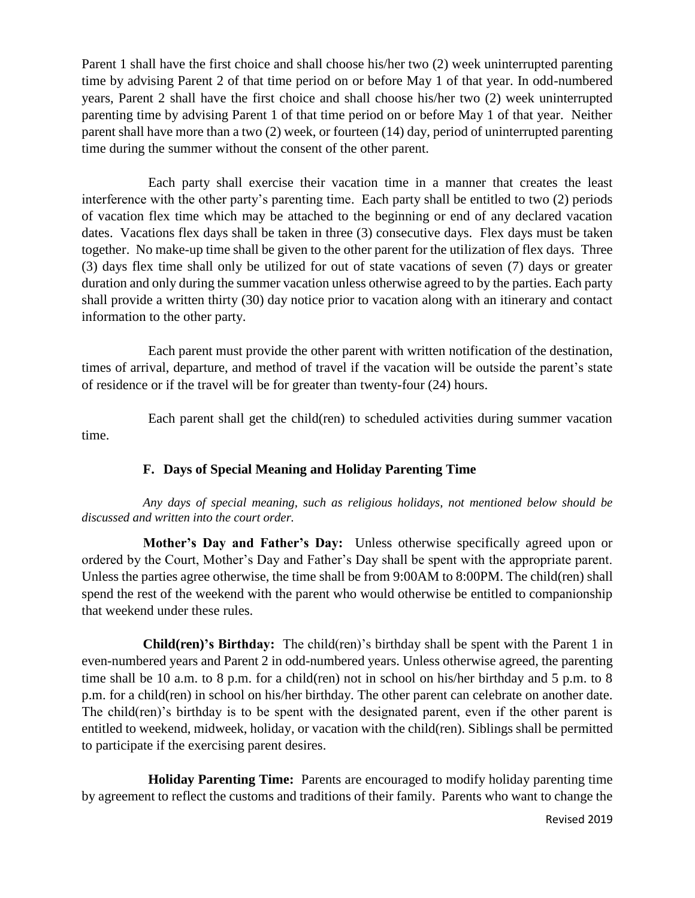Parent 1 shall have the first choice and shall choose his/her two (2) week uninterrupted parenting time by advising Parent 2 of that time period on or before May 1 of that year. In odd-numbered years, Parent 2 shall have the first choice and shall choose his/her two (2) week uninterrupted parenting time by advising Parent 1 of that time period on or before May 1 of that year. Neither parent shall have more than a two (2) week, or fourteen (14) day, period of uninterrupted parenting time during the summer without the consent of the other parent.

Each party shall exercise their vacation time in a manner that creates the least interference with the other party's parenting time. Each party shall be entitled to two (2) periods of vacation flex time which may be attached to the beginning or end of any declared vacation dates. Vacations flex days shall be taken in three (3) consecutive days. Flex days must be taken together. No make-up time shall be given to the other parent for the utilization of flex days. Three (3) days flex time shall only be utilized for out of state vacations of seven (7) days or greater duration and only during the summer vacation unless otherwise agreed to by the parties. Each party shall provide a written thirty (30) day notice prior to vacation along with an itinerary and contact information to the other party.

Each parent must provide the other parent with written notification of the destination, times of arrival, departure, and method of travel if the vacation will be outside the parent's state of residence or if the travel will be for greater than twenty-four (24) hours.

Each parent shall get the child(ren) to scheduled activities during summer vacation time.

# **F. Days of Special Meaning and Holiday Parenting Time**

*Any days of special meaning, such as religious holidays, not mentioned below should be discussed and written into the court order.* 

**Mother's Day and Father's Day:** Unless otherwise specifically agreed upon or ordered by the Court, Mother's Day and Father's Day shall be spent with the appropriate parent. Unless the parties agree otherwise, the time shall be from 9:00AM to 8:00PM. The child(ren) shall spend the rest of the weekend with the parent who would otherwise be entitled to companionship that weekend under these rules.

**Child(ren)'s Birthday:** The child(ren)'s birthday shall be spent with the Parent 1 in even-numbered years and Parent 2 in odd-numbered years. Unless otherwise agreed, the parenting time shall be 10 a.m. to 8 p.m. for a child(ren) not in school on his/her birthday and 5 p.m. to 8 p.m. for a child(ren) in school on his/her birthday. The other parent can celebrate on another date. The child(ren)'s birthday is to be spent with the designated parent, even if the other parent is entitled to weekend, midweek, holiday, or vacation with the child(ren). Siblings shall be permitted to participate if the exercising parent desires.

**Holiday Parenting Time:** Parents are encouraged to modify holiday parenting time by agreement to reflect the customs and traditions of their family. Parents who want to change the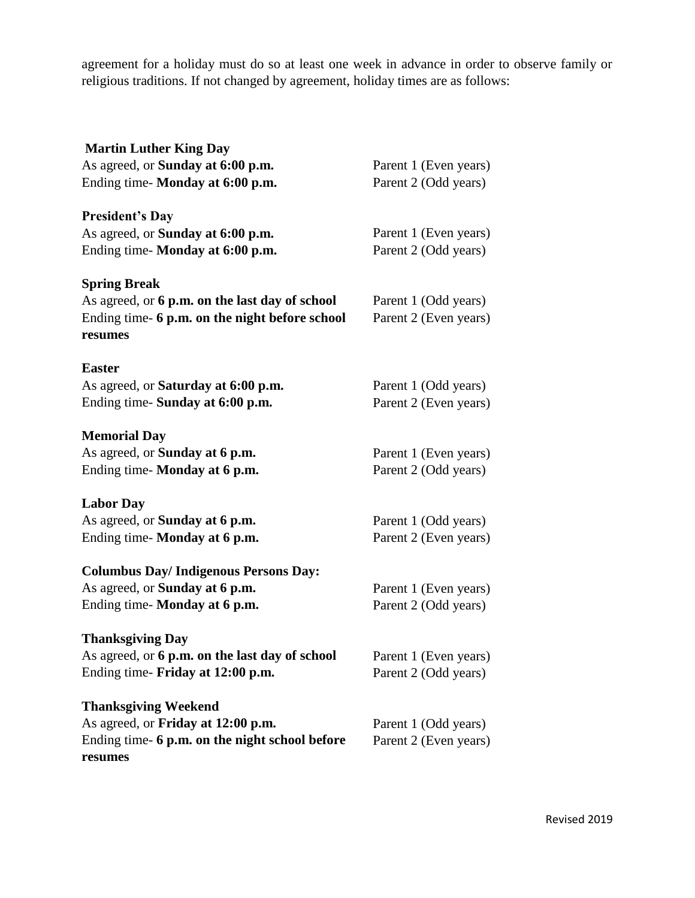agreement for a holiday must do so at least one week in advance in order to observe family or religious traditions. If not changed by agreement, holiday times are as follows:

| <b>Martin Luther King Day</b>                             |                       |
|-----------------------------------------------------------|-----------------------|
| As agreed, or <b>Sunday at 6:00 p.m.</b>                  | Parent 1 (Even years) |
| Ending time-Monday at 6:00 p.m.                           | Parent 2 (Odd years)  |
| <b>President's Day</b>                                    |                       |
| As agreed, or <b>Sunday at 6:00 p.m.</b>                  | Parent 1 (Even years) |
| Ending time-Monday at 6:00 p.m.                           | Parent 2 (Odd years)  |
| <b>Spring Break</b>                                       |                       |
| As agreed, or 6 p.m. on the last day of school            | Parent 1 (Odd years)  |
| Ending time- 6 p.m. on the night before school<br>resumes | Parent 2 (Even years) |
| Easter                                                    |                       |
| As agreed, or <b>Saturday at 6:00 p.m.</b>                | Parent 1 (Odd years)  |
| Ending time- Sunday at 6:00 p.m.                          | Parent 2 (Even years) |
| <b>Memorial Day</b>                                       |                       |
| As agreed, or Sunday at 6 p.m.                            | Parent 1 (Even years) |
| Ending time- Monday at 6 p.m.                             | Parent 2 (Odd years)  |
| <b>Labor Day</b>                                          |                       |
| As agreed, or <b>Sunday at 6 p.m.</b>                     | Parent 1 (Odd years)  |
| Ending time- Monday at 6 p.m.                             | Parent 2 (Even years) |
| <b>Columbus Day/Indigenous Persons Day:</b>               |                       |
| As agreed, or <b>Sunday at 6 p.m.</b>                     | Parent 1 (Even years) |
| Ending time- Monday at 6 p.m.                             | Parent 2 (Odd years)  |
| <b>Thanksgiving Day</b>                                   |                       |
| As agreed, or 6 p.m. on the last day of school            | Parent 1 (Even years) |
| Ending time- Friday at 12:00 p.m.                         | Parent 2 (Odd years)  |
| <b>Thanksgiving Weekend</b>                               |                       |
| As agreed, or Friday at 12:00 p.m.                        | Parent 1 (Odd years)  |
| Ending time- 6 p.m. on the night school before<br>resumes | Parent 2 (Even years) |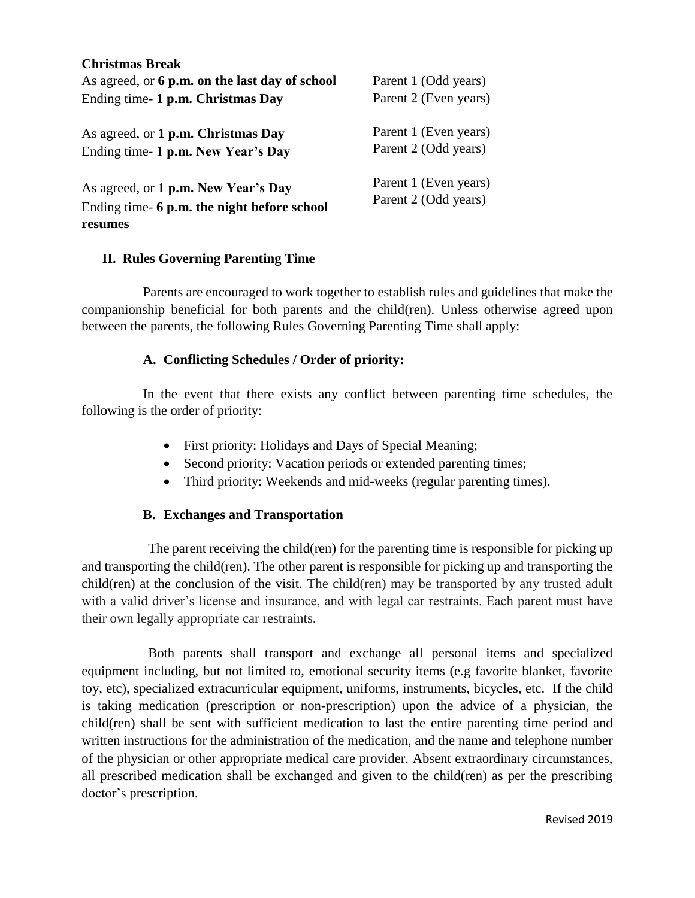| <b>Christmas Break</b><br>As agreed, or 6 p.m. on the last day of school<br>Ending time- 1 p.m. Christmas Day | Parent 1 (Odd years)<br>Parent 2 (Even years) |
|---------------------------------------------------------------------------------------------------------------|-----------------------------------------------|
| As agreed, or 1 p.m. Christmas Day                                                                            | Parent 1 (Even years)                         |
| Ending time- 1 p.m. New Year's Day                                                                            | Parent 2 (Odd years)                          |
| As agreed, or 1 p.m. New Year's Day                                                                           | Parent 1 (Even years)                         |
| Ending time- 6 p.m. the night before school                                                                   | Parent 2 (Odd years)                          |

### **II. Rules Governing Parenting Time**

**resumes** 

Parents are encouraged to work together to establish rules and guidelines that make the companionship beneficial for both parents and the child(ren). Unless otherwise agreed upon between the parents, the following Rules Governing Parenting Time shall apply:

#### **A. Conflicting Schedules / Order of priority:**

In the event that there exists any conflict between parenting time schedules, the following is the order of priority:

- First priority: Holidays and Days of Special Meaning;
- Second priority: Vacation periods or extended parenting times;
- Third priority: Weekends and mid-weeks (regular parenting times).

#### **B. Exchanges and Transportation**

The parent receiving the child(ren) for the parenting time is responsible for picking up and transporting the child(ren). The other parent is responsible for picking up and transporting the child(ren) at the conclusion of the visit. The child(ren) may be transported by any trusted adult with a valid driver's license and insurance, and with legal car restraints. Each parent must have their own legally appropriate car restraints.

Both parents shall transport and exchange all personal items and specialized equipment including, but not limited to, emotional security items (e.g favorite blanket, favorite toy, etc), specialized extracurricular equipment, uniforms, instruments, bicycles, etc. If the child is taking medication (prescription or non-prescription) upon the advice of a physician, the child(ren) shall be sent with sufficient medication to last the entire parenting time period and written instructions for the administration of the medication, and the name and telephone number of the physician or other appropriate medical care provider. Absent extraordinary circumstances, all prescribed medication shall be exchanged and given to the child(ren) as per the prescribing doctor's prescription.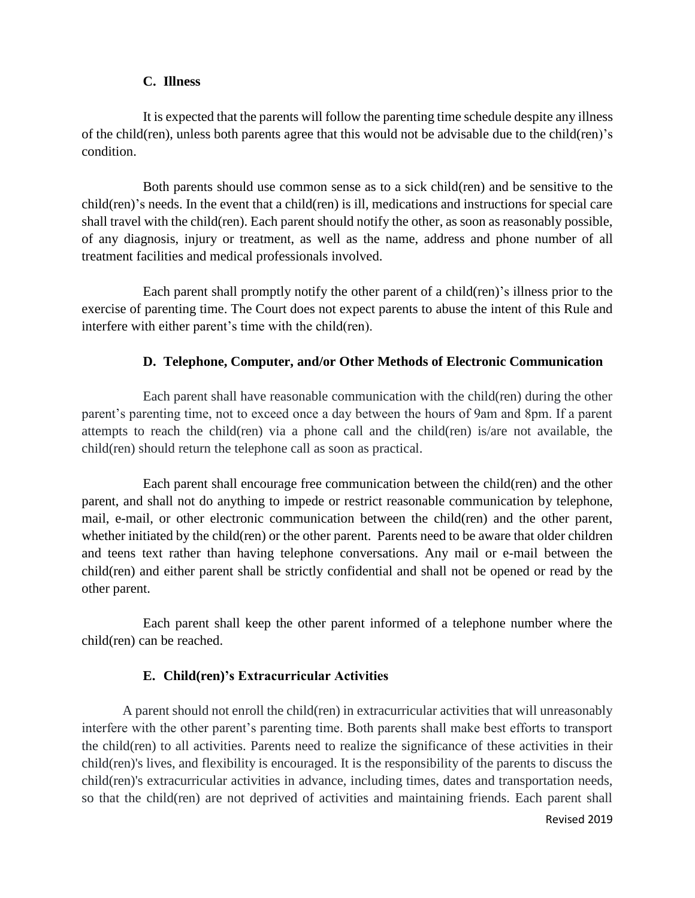#### **C. Illness**

It is expected that the parents will follow the parenting time schedule despite any illness of the child(ren), unless both parents agree that this would not be advisable due to the child(ren)'s condition.

Both parents should use common sense as to a sick child(ren) and be sensitive to the child(ren)'s needs. In the event that a child(ren) is ill, medications and instructions for special care shall travel with the child(ren). Each parent should notify the other, as soon as reasonably possible, of any diagnosis, injury or treatment, as well as the name, address and phone number of all treatment facilities and medical professionals involved.

Each parent shall promptly notify the other parent of a child(ren)'s illness prior to the exercise of parenting time. The Court does not expect parents to abuse the intent of this Rule and interfere with either parent's time with the child(ren).

### **D. Telephone, Computer, and/or Other Methods of Electronic Communication**

Each parent shall have reasonable communication with the child(ren) during the other parent's parenting time, not to exceed once a day between the hours of 9am and 8pm. If a parent attempts to reach the child(ren) via a phone call and the child(ren) is/are not available, the child(ren) should return the telephone call as soon as practical.

Each parent shall encourage free communication between the child(ren) and the other parent, and shall not do anything to impede or restrict reasonable communication by telephone, mail, e-mail, or other electronic communication between the child(ren) and the other parent, whether initiated by the child(ren) or the other parent. Parents need to be aware that older children and teens text rather than having telephone conversations. Any mail or e-mail between the child(ren) and either parent shall be strictly confidential and shall not be opened or read by the other parent.

Each parent shall keep the other parent informed of a telephone number where the child(ren) can be reached.

# **E. Child(ren)'s Extracurricular Activities**

A parent should not enroll the child(ren) in extracurricular activities that will unreasonably interfere with the other parent's parenting time. Both parents shall make best efforts to transport the child(ren) to all activities. Parents need to realize the significance of these activities in their child(ren)'s lives, and flexibility is encouraged. It is the responsibility of the parents to discuss the child(ren)'s extracurricular activities in advance, including times, dates and transportation needs, so that the child(ren) are not deprived of activities and maintaining friends. Each parent shall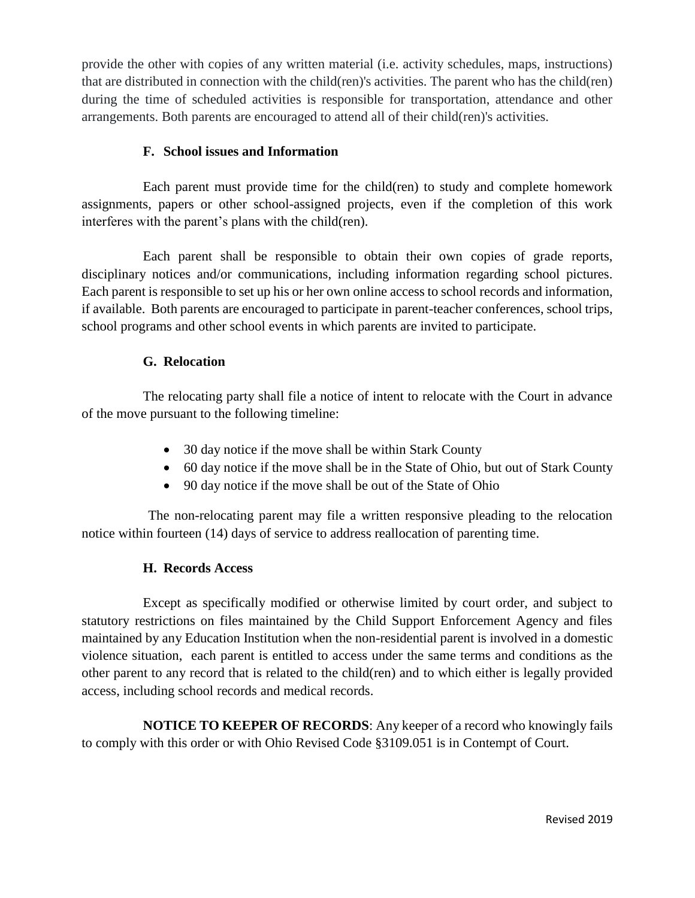provide the other with copies of any written material (i.e. activity schedules, maps, instructions) that are distributed in connection with the child(ren)'s activities. The parent who has the child(ren) during the time of scheduled activities is responsible for transportation, attendance and other arrangements. Both parents are encouraged to attend all of their child(ren)'s activities.

### **F. School issues and Information**

Each parent must provide time for the child(ren) to study and complete homework assignments, papers or other school-assigned projects, even if the completion of this work interferes with the parent's plans with the child(ren).

Each parent shall be responsible to obtain their own copies of grade reports, disciplinary notices and/or communications, including information regarding school pictures. Each parent is responsible to set up his or her own online access to school records and information, if available. Both parents are encouraged to participate in parent-teacher conferences, school trips, school programs and other school events in which parents are invited to participate.

### **G. Relocation**

The relocating party shall file a notice of intent to relocate with the Court in advance of the move pursuant to the following timeline:

- 30 day notice if the move shall be within Stark County
- 60 day notice if the move shall be in the State of Ohio, but out of Stark County
- 90 day notice if the move shall be out of the State of Ohio

The non-relocating parent may file a written responsive pleading to the relocation notice within fourteen (14) days of service to address reallocation of parenting time.

# **H. Records Access**

Except as specifically modified or otherwise limited by court order, and subject to statutory restrictions on files maintained by the Child Support Enforcement Agency and files maintained by any Education Institution when the non-residential parent is involved in a domestic violence situation, each parent is entitled to access under the same terms and conditions as the other parent to any record that is related to the child(ren) and to which either is legally provided access, including school records and medical records.

**NOTICE TO KEEPER OF RECORDS**: Any keeper of a record who knowingly fails to comply with this order or with Ohio Revised Code §3109.051 is in Contempt of Court.